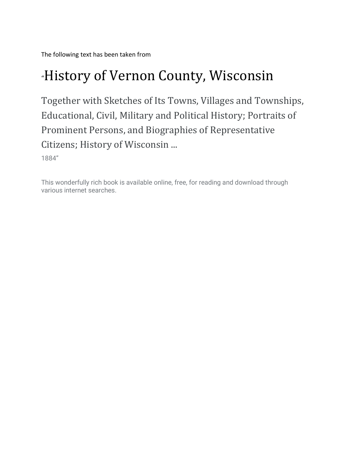The following text has been taken from

# "History of Vernon County, Wisconsin

Together with Sketches of Its Towns, Villages and Townships, Educational, Civil, Military and Political History; Portraits of Prominent Persons, and Biographies of Representative Citizens; History of Wisconsin ...

1884"

This wonderfully rich book is available online, free, for reading and download through various internet searches.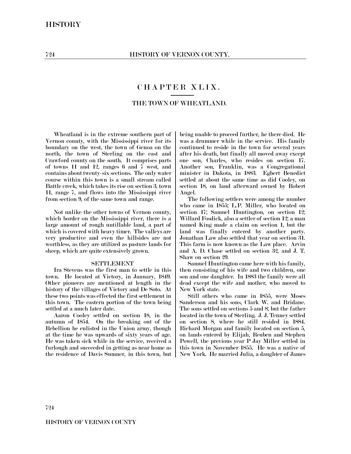## C HAPTER XLIX. THE TOWN OF WHEATLAND.

Wheatland is in the extreme southern part of Vernon county, with the Mississippi river for its boundary on the west, the town of Genoa on the north, the town of Sterling on the east and Crawford county on the south. It comprises parts of towns 11 and 12, ranges 6 and  $\overline{7}$  west, and contains about twenty-six sections. The only water course within this town is a small stream called Battle creek, which takes its rise on section 3, town 11, range 7, and flows into the Mississippi river from section 9, of the same town and range.

Not unlike the other towns of Vernon county, which border on the Mississippi river, there is a large amount of rough untillable land, a part of which is covered with heavy timer. The valleys are very productive and even the hillsides are not worthless, as they are utilized as pasture lands for sheep, which are quite extensively grown.

#### **SETTLEMENT**

Ira Stevens was the first man to settle in this town. He located at Victory, in January, 1849. Other pioneers are mentioned at length in the history of the villages of Victory and De Soto. At these two points was effected the first settlement in this town. The eastern portion of the town being settled at a much later date.

Aaron Cooley settled on section 18, in the autumn of 1854. On the breaking out of the Rebellion he enlisted in the Union army, though at the time he was upwards of sixty years of age. He was taken sick while in the service, received a furlough and succeeded in getting as near home as the residence of Davis Sumner, in this town, but being unable to proceed further, he there died. He was a drummer while in the service. His family continued to reside in the town for several years after his death, but finally all moved away except one son, Charles, who resides on section 17. Another son, Franklin, was a Congregational minister in Dakota, in 1883. Egbert Benedict settled at about the same time as did Cooley, on section 18, on land afterward owned by Robert Angel.

The following settlers were among the number who came in 1855; L.P. Miller, who located on section 17; Samuel Huntington, on section 12; Willard Fosdick, also a settler of section 12; a man named King made a claim on section 1, but the land was finally entered by another party. Jonathan Law also settled that year on section 31. This farm is now known as the Law place. Arvin and A. D. Chase settled on section 32, and J. T. Shaw on section 29.

Samuel Huntington came here with his family, then consisting of his wife and two children, one son and one daughter. In 1883 the family were all dead except the wife and mother, who moved to New York state.

Still others who came in 1855, were Moses Sanderson and his sons, Clark W. and Bridane. The sons settled on sections 5 and 8; but the father located in the town of Sterling. J. J. Tenney settled on section 8, where he still resided in 1884. Richard Morgan and family located on section 5, on lands entered by Elijah, Reuben and Stephen Powell, the previous year P Jay Miller settled in this town in November 1855. He was a native of New York. He married Julia, a daughter of James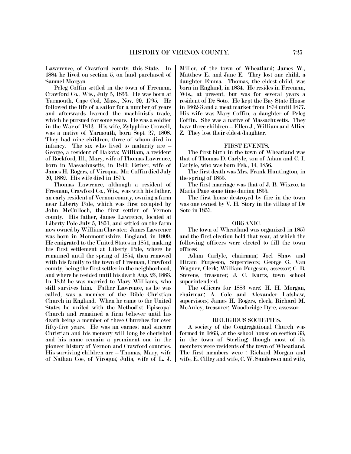Lawerence, of Crawford county, this State. In 1884 he lived on section 5, on land purchased of Samuel Morgan.

Peleg Coffin settled in the town of Freeman, Crawford Co., Wis., July 5, 1855. He was born at Yarmouth, Cape Cod, Mass., Nov. 20, 1795. He followed the life of a sailor for a number of years and afterwards learned the machinist's trade, which he pursued for some years. He was a soldier in the War of 1812. His wife, Zylpphine Crowell, was a native of Yarmouth, born Sept. 27, 1808. They had nine children, three of whom died in infancy. The six who lived to maturity are  $-\frac{1}{2}$ George, a resident of Dakota; William, a resident of Rockford, Ill., Mary, wife of Thomas Lawrence, born in Massachusetts, in 1841; Esther, wife of James H. Rogers, of Viroqua. Mr. Coffin died July 20, 1882. His wife died in 1875.

Thomas Lawrence, although a resident of Freeman, Crawford Co., Wis., was with his father, an early resident of Vernon county, owning a farm near Liberty Pole, which was first occupied by John McCulloch, the first settler of Vernon county. His father, James Lawrence, located at Liberty Pole July 5, 1851, and settled on the farm now owned by William Clawater. James Lawrence was born in Monmouthshire, England, in 1809. He emigrated to the United States in 1851, making his first settlement at Liberty Pole, where he remained until the spring of 1854, then removed with his family to the town of Freeman, Crawford county, being the first settler in the neighborhood, and where he resided until his death Aug. 23, 1883. In 1832 he was married to Mary Williams, who still survives him. Father Lawrence, as he was called, was a member of the Bible Christian Church in England. When he came to the United States he united with the Methodist Episcopal Church and remained a firm believer until his death being a member of these Churches for over fifty-five years. He was an earnest and sincere Christian and his memory will long be cherished and his name remain a prominent one in the pioneer history of Vernon and Crawford counties. His surviving children are – Thomas, Mary, wife of Nathan Coe, of Viroqua; Julia, wife of L. J. Miller, of the town of Wheatland; James W., Matthew E. and Jane E. They lost one child, a daughter Emma. Thomas, the eldest child, was born in England, in 1834. He resides in Freeman, Wis., at present, but was for several years a resident of De Soto. He kept the Bay State House in 1862-3 and a meat market from 1874 until 1877. His wife was Mary Coffin, a daughter of Peleg Coffin. She was a native of Massachusetts. They have three children – Ellen J., William and Allice Z. They lost their eldest daughter.

#### FIRST EVENTS.

The first birth in the town of Wheatland was that of Thomas D. Carlyle, son of Adam and C. L Carlyle, who was born Feb., 14, 1856.

The first death was Mrs. Frank Huntington, in the spring of 1855.

The first marriage was that of J. B. Wixcox to Maria Page some time during 1855.

The first house destroyed by fire in the town was one owned by V. H. Story in the village of De Soto in 1857.

#### ORGANIC.

The town of Wheatland was organized in 1857 and the first election held that year, at which the following officers were elected to fill the town offices:

Adam Carlyle, chairman; Joel Shaw and Hiram Furgeson, Supervisors; George G. Van Wagner, Clerk; William Furgeson, assessor; C. B. Stevens, treasurer; J. C. Kurtz, town school superintendent.

The officers for 1883 were: H. H. Morgan, chairman; A. Cole and Alexander Latshaw, supervisors; James H. Rogers, clerk; Richard M. McAuley, treasurer; Woodbridge Dyre, assessor.

#### RELIGIOUS SOCIETIES.

A society of the Congregational Church was formed in 1863, at the school house on section 33, in the town of Sterling; though most of its members were residents of the town of Wheatland. The first members were : Richard Morgan and wife, E. Cilley and wife, C. W. Sanderson and wife,